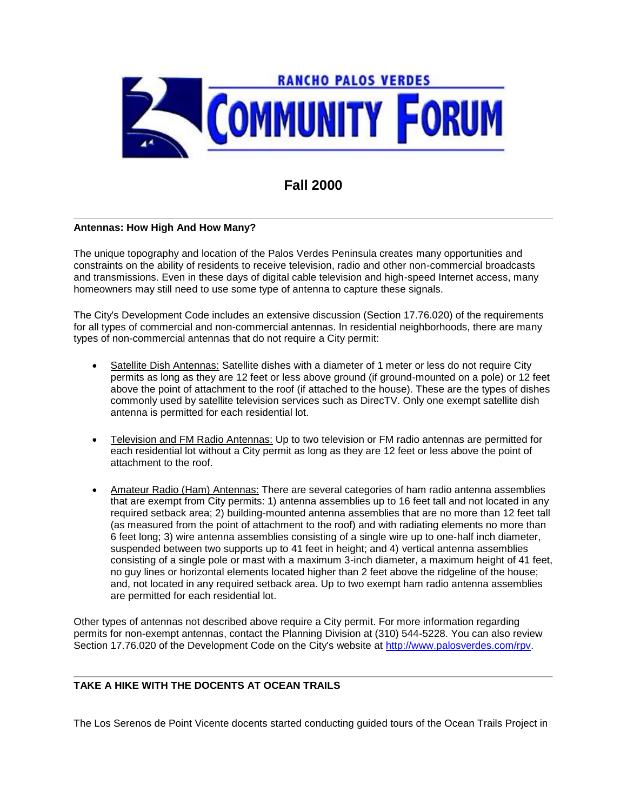

# **Fall 2000**

# **Antennas: How High And How Many?**

The unique topography and location of the Palos Verdes Peninsula creates many opportunities and constraints on the ability of residents to receive television, radio and other non-commercial broadcasts and transmissions. Even in these days of digital cable television and high-speed Internet access, many homeowners may still need to use some type of antenna to capture these signals.

The City's Development Code includes an extensive discussion (Section 17.76.020) of the requirements for all types of commercial and non-commercial antennas. In residential neighborhoods, there are many types of non-commercial antennas that do not require a City permit:

- Satellite Dish Antennas: Satellite dishes with a diameter of 1 meter or less do not require City permits as long as they are 12 feet or less above ground (if ground-mounted on a pole) or 12 feet above the point of attachment to the roof (if attached to the house). These are the types of dishes commonly used by satellite television services such as DirecTV. Only one exempt satellite dish antenna is permitted for each residential lot.
- Television and FM Radio Antennas: Up to two television or FM radio antennas are permitted for each residential lot without a City permit as long as they are 12 feet or less above the point of attachment to the roof.
- Amateur Radio (Ham) Antennas: There are several categories of ham radio antenna assemblies that are exempt from City permits: 1) antenna assemblies up to 16 feet tall and not located in any required setback area; 2) building-mounted antenna assemblies that are no more than 12 feet tall (as measured from the point of attachment to the roof) and with radiating elements no more than 6 feet long; 3) wire antenna assemblies consisting of a single wire up to one-half inch diameter, suspended between two supports up to 41 feet in height; and 4) vertical antenna assemblies consisting of a single pole or mast with a maximum 3-inch diameter, a maximum height of 41 feet, no guy lines or horizontal elements located higher than 2 feet above the ridgeline of the house; and, not located in any required setback area. Up to two exempt ham radio antenna assemblies are permitted for each residential lot.

Other types of antennas not described above require a City permit. For more information regarding permits for non-exempt antennas, contact the Planning Division at (310) 544-5228. You can also review Section 17.76.020 of the Development Code on the City's website at http://www.palosverdes.com/rpv.

#### **TAKE A HIKE WITH THE DOCENTS AT OCEAN TRAILS**

The Los Serenos de Point Vicente docents started conducting guided tours of the Ocean Trails Project in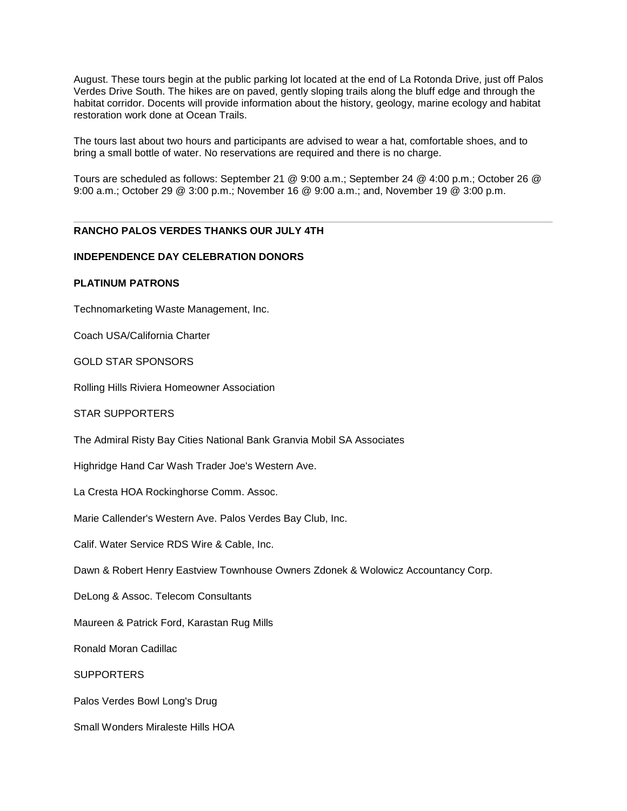August. These tours begin at the public parking lot located at the end of La Rotonda Drive, just off Palos Verdes Drive South. The hikes are on paved, gently sloping trails along the bluff edge and through the habitat corridor. Docents will provide information about the history, geology, marine ecology and habitat restoration work done at Ocean Trails.

The tours last about two hours and participants are advised to wear a hat, comfortable shoes, and to bring a small bottle of water. No reservations are required and there is no charge.

Tours are scheduled as follows: September 21 @ 9:00 a.m.; September 24 @ 4:00 p.m.; October 26 @ 9:00 a.m.; October 29 @ 3:00 p.m.; November 16 @ 9:00 a.m.; and, November 19 @ 3:00 p.m.

# **RANCHO PALOS VERDES THANKS OUR JULY 4TH**

#### **INDEPENDENCE DAY CELEBRATION DONORS**

# **PLATINUM PATRONS**

Technomarketing Waste Management, Inc.

Coach USA/California Charter

GOLD STAR SPONSORS

Rolling Hills Riviera Homeowner Association

STAR SUPPORTERS

The Admiral Risty Bay Cities National Bank Granvia Mobil SA Associates

Highridge Hand Car Wash Trader Joe's Western Ave.

La Cresta HOA Rockinghorse Comm. Assoc.

Marie Callender's Western Ave. Palos Verdes Bay Club, Inc.

Calif. Water Service RDS Wire & Cable, Inc.

Dawn & Robert Henry Eastview Townhouse Owners Zdonek & Wolowicz Accountancy Corp.

DeLong & Assoc. Telecom Consultants

Maureen & Patrick Ford, Karastan Rug Mills

Ronald Moran Cadillac

**SUPPORTERS** 

Palos Verdes Bowl Long's Drug

Small Wonders Miraleste Hills HOA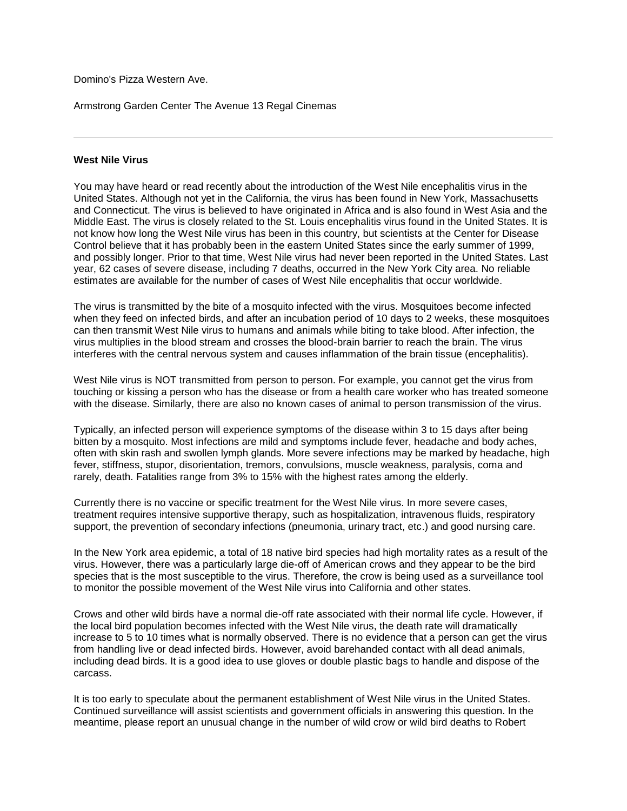Domino's Pizza Western Ave.

Armstrong Garden Center The Avenue 13 Regal Cinemas

#### **West Nile Virus**

You may have heard or read recently about the introduction of the West Nile encephalitis virus in the United States. Although not yet in the California, the virus has been found in New York, Massachusetts and Connecticut. The virus is believed to have originated in Africa and is also found in West Asia and the Middle East. The virus is closely related to the St. Louis encephalitis virus found in the United States. It is not know how long the West Nile virus has been in this country, but scientists at the Center for Disease Control believe that it has probably been in the eastern United States since the early summer of 1999, and possibly longer. Prior to that time, West Nile virus had never been reported in the United States. Last year, 62 cases of severe disease, including 7 deaths, occurred in the New York City area. No reliable estimates are available for the number of cases of West Nile encephalitis that occur worldwide.

The virus is transmitted by the bite of a mosquito infected with the virus. Mosquitoes become infected when they feed on infected birds, and after an incubation period of 10 days to 2 weeks, these mosquitoes can then transmit West Nile virus to humans and animals while biting to take blood. After infection, the virus multiplies in the blood stream and crosses the blood-brain barrier to reach the brain. The virus interferes with the central nervous system and causes inflammation of the brain tissue (encephalitis).

West Nile virus is NOT transmitted from person to person. For example, you cannot get the virus from touching or kissing a person who has the disease or from a health care worker who has treated someone with the disease. Similarly, there are also no known cases of animal to person transmission of the virus.

Typically, an infected person will experience symptoms of the disease within 3 to 15 days after being bitten by a mosquito. Most infections are mild and symptoms include fever, headache and body aches, often with skin rash and swollen lymph glands. More severe infections may be marked by headache, high fever, stiffness, stupor, disorientation, tremors, convulsions, muscle weakness, paralysis, coma and rarely, death. Fatalities range from 3% to 15% with the highest rates among the elderly.

Currently there is no vaccine or specific treatment for the West Nile virus. In more severe cases, treatment requires intensive supportive therapy, such as hospitalization, intravenous fluids, respiratory support, the prevention of secondary infections (pneumonia, urinary tract, etc.) and good nursing care.

In the New York area epidemic, a total of 18 native bird species had high mortality rates as a result of the virus. However, there was a particularly large die-off of American crows and they appear to be the bird species that is the most susceptible to the virus. Therefore, the crow is being used as a surveillance tool to monitor the possible movement of the West Nile virus into California and other states.

Crows and other wild birds have a normal die-off rate associated with their normal life cycle. However, if the local bird population becomes infected with the West Nile virus, the death rate will dramatically increase to 5 to 10 times what is normally observed. There is no evidence that a person can get the virus from handling live or dead infected birds. However, avoid barehanded contact with all dead animals, including dead birds. It is a good idea to use gloves or double plastic bags to handle and dispose of the carcass.

It is too early to speculate about the permanent establishment of West Nile virus in the United States. Continued surveillance will assist scientists and government officials in answering this question. In the meantime, please report an unusual change in the number of wild crow or wild bird deaths to Robert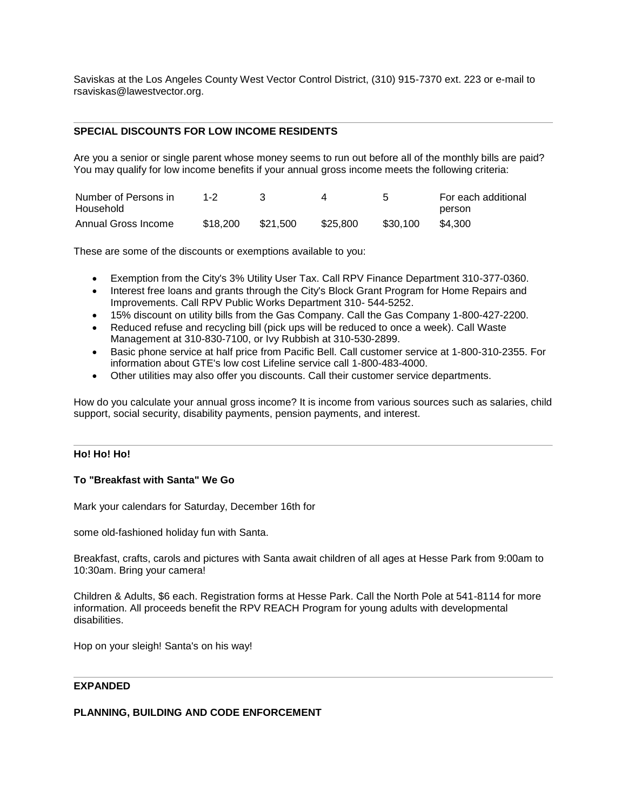Saviskas at the Los Angeles County West Vector Control District, (310) 915-7370 ext. 223 or e-mail to rsaviskas@lawestvector.org.

# **SPECIAL DISCOUNTS FOR LOW INCOME RESIDENTS**

Are you a senior or single parent whose money seems to run out before all of the monthly bills are paid? You may qualify for low income benefits if your annual gross income meets the following criteria:

| Number of Persons in<br>Household | $1 - 2$  |          |          |          | For each additional |
|-----------------------------------|----------|----------|----------|----------|---------------------|
|                                   |          |          |          |          | person              |
| Annual Gross Income               | \$18.200 | \$21.500 | \$25.800 | \$30,100 | \$4.300             |

These are some of the discounts or exemptions available to you:

- Exemption from the City's 3% Utility User Tax. Call RPV Finance Department 310-377-0360.
- Interest free loans and grants through the City's Block Grant Program for Home Repairs and Improvements. Call RPV Public Works Department 310- 544-5252.
- 15% discount on utility bills from the Gas Company. Call the Gas Company 1-800-427-2200.
- Reduced refuse and recycling bill (pick ups will be reduced to once a week). Call Waste Management at 310-830-7100, or Ivy Rubbish at 310-530-2899.
- Basic phone service at half price from Pacific Bell. Call customer service at 1-800-310-2355. For information about GTE's low cost Lifeline service call 1-800-483-4000.
- Other utilities may also offer you discounts. Call their customer service departments.

How do you calculate your annual gross income? It is income from various sources such as salaries, child support, social security, disability payments, pension payments, and interest.

#### **Ho! Ho! Ho!**

## **To "Breakfast with Santa" We Go**

Mark your calendars for Saturday, December 16th for

some old-fashioned holiday fun with Santa.

Breakfast, crafts, carols and pictures with Santa await children of all ages at Hesse Park from 9:00am to 10:30am. Bring your camera!

Children & Adults, \$6 each. Registration forms at Hesse Park. Call the North Pole at 541-8114 for more information. All proceeds benefit the RPV REACH Program for young adults with developmental disabilities.

Hop on your sleigh! Santa's on his way!

#### **EXPANDED**

#### **PLANNING, BUILDING AND CODE ENFORCEMENT**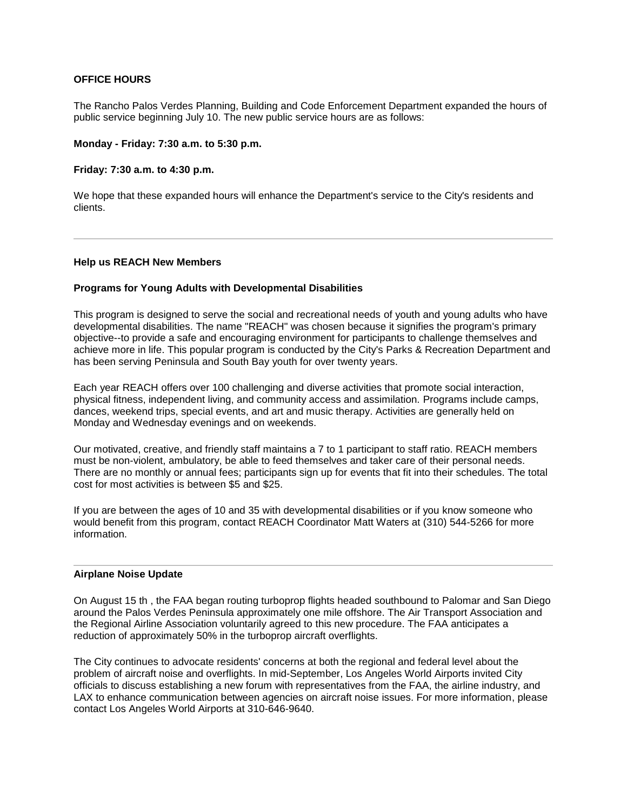# **OFFICE HOURS**

The Rancho Palos Verdes Planning, Building and Code Enforcement Department expanded the hours of public service beginning July 10. The new public service hours are as follows:

#### **Monday - Friday: 7:30 a.m. to 5:30 p.m.**

**Friday: 7:30 a.m. to 4:30 p.m.**

We hope that these expanded hours will enhance the Department's service to the City's residents and clients.

#### **Help us REACH New Members**

#### **Programs for Young Adults with Developmental Disabilities**

This program is designed to serve the social and recreational needs of youth and young adults who have developmental disabilities. The name "REACH" was chosen because it signifies the program's primary objective--to provide a safe and encouraging environment for participants to challenge themselves and achieve more in life. This popular program is conducted by the City's Parks & Recreation Department and has been serving Peninsula and South Bay youth for over twenty years.

Each year REACH offers over 100 challenging and diverse activities that promote social interaction, physical fitness, independent living, and community access and assimilation. Programs include camps, dances, weekend trips, special events, and art and music therapy. Activities are generally held on Monday and Wednesday evenings and on weekends.

Our motivated, creative, and friendly staff maintains a 7 to 1 participant to staff ratio. REACH members must be non-violent, ambulatory, be able to feed themselves and taker care of their personal needs. There are no monthly or annual fees; participants sign up for events that fit into their schedules. The total cost for most activities is between \$5 and \$25.

If you are between the ages of 10 and 35 with developmental disabilities or if you know someone who would benefit from this program, contact REACH Coordinator Matt Waters at (310) 544-5266 for more information.

#### **Airplane Noise Update**

On August 15 th , the FAA began routing turboprop flights headed southbound to Palomar and San Diego around the Palos Verdes Peninsula approximately one mile offshore. The Air Transport Association and the Regional Airline Association voluntarily agreed to this new procedure. The FAA anticipates a reduction of approximately 50% in the turboprop aircraft overflights.

The City continues to advocate residents' concerns at both the regional and federal level about the problem of aircraft noise and overflights. In mid-September, Los Angeles World Airports invited City officials to discuss establishing a new forum with representatives from the FAA, the airline industry, and LAX to enhance communication between agencies on aircraft noise issues. For more information, please contact Los Angeles World Airports at 310-646-9640.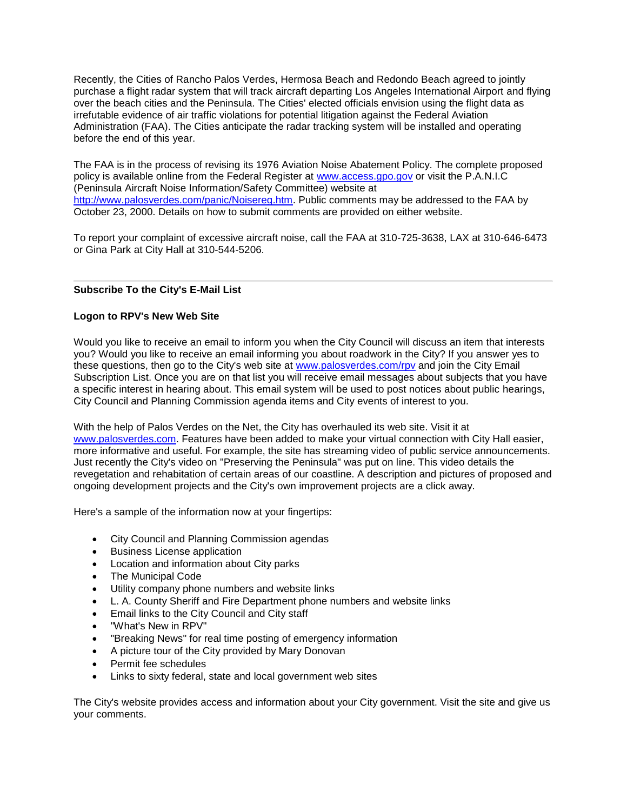Recently, the Cities of Rancho Palos Verdes, Hermosa Beach and Redondo Beach agreed to jointly purchase a flight radar system that will track aircraft departing Los Angeles International Airport and flying over the beach cities and the Peninsula. The Cities' elected officials envision using the flight data as irrefutable evidence of air traffic violations for potential litigation against the Federal Aviation Administration (FAA). The Cities anticipate the radar tracking system will be installed and operating before the end of this year.

The FAA is in the process of revising its 1976 Aviation Noise Abatement Policy. The complete proposed policy is available online from the Federal Register at www.access.gpo.gov or visit the P.A.N.I.C (Peninsula Aircraft Noise Information/Safety Committee) website at http://www.palosverdes.com/panic/Noisereg.htm. Public comments may be addressed to the FAA by October 23, 2000. Details on how to submit comments are provided on either website.

To report your complaint of excessive aircraft noise, call the FAA at 310-725-3638, LAX at 310-646-6473 or Gina Park at City Hall at 310-544-5206.

# **Subscribe To the City's E-Mail List**

# **Logon to RPV's New Web Site**

Would you like to receive an email to inform you when the City Council will discuss an item that interests you? Would you like to receive an email informing you about roadwork in the City? If you answer yes to these questions, then go to the City's web site at www.palosverdes.com/rpv and join the City Email Subscription List. Once you are on that list you will receive email messages about subjects that you have a specific interest in hearing about. This email system will be used to post notices about public hearings, City Council and Planning Commission agenda items and City events of interest to you.

With the help of Palos Verdes on the Net, the City has overhauled its web site. Visit it at www.palosverdes.com. Features have been added to make your virtual connection with City Hall easier, more informative and useful. For example, the site has streaming video of public service announcements. Just recently the City's video on "Preserving the Peninsula" was put on line. This video details the revegetation and rehabitation of certain areas of our coastline. A description and pictures of proposed and ongoing development projects and the City's own improvement projects are a click away.

Here's a sample of the information now at your fingertips:

- City Council and Planning Commission agendas
- Business License application
- Location and information about City parks
- The Municipal Code
- Utility company phone numbers and website links
- L. A. County Sheriff and Fire Department phone numbers and website links
- Email links to the City Council and City staff
- "What's New in RPV"
- "Breaking News" for real time posting of emergency information
- A picture tour of the City provided by Mary Donovan
- Permit fee schedules
- Links to sixty federal, state and local government web sites

The City's website provides access and information about your City government. Visit the site and give us your comments.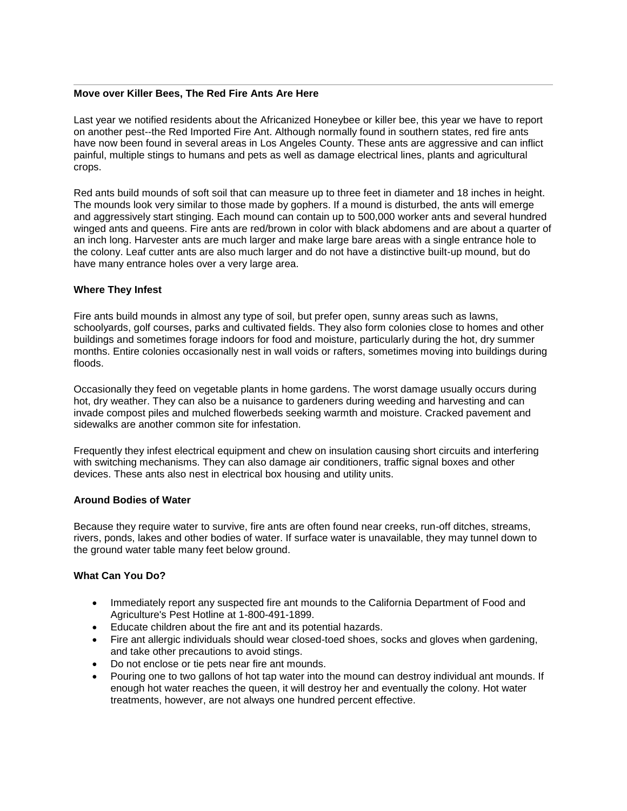#### **Move over Killer Bees, The Red Fire Ants Are Here**

Last year we notified residents about the Africanized Honeybee or killer bee, this year we have to report on another pest--the Red Imported Fire Ant. Although normally found in southern states, red fire ants have now been found in several areas in Los Angeles County. These ants are aggressive and can inflict painful, multiple stings to humans and pets as well as damage electrical lines, plants and agricultural crops.

Red ants build mounds of soft soil that can measure up to three feet in diameter and 18 inches in height. The mounds look very similar to those made by gophers. If a mound is disturbed, the ants will emerge and aggressively start stinging. Each mound can contain up to 500,000 worker ants and several hundred winged ants and queens. Fire ants are red/brown in color with black abdomens and are about a quarter of an inch long. Harvester ants are much larger and make large bare areas with a single entrance hole to the colony. Leaf cutter ants are also much larger and do not have a distinctive built-up mound, but do have many entrance holes over a very large area.

#### **Where They Infest**

Fire ants build mounds in almost any type of soil, but prefer open, sunny areas such as lawns, schoolyards, golf courses, parks and cultivated fields. They also form colonies close to homes and other buildings and sometimes forage indoors for food and moisture, particularly during the hot, dry summer months. Entire colonies occasionally nest in wall voids or rafters, sometimes moving into buildings during floods.

Occasionally they feed on vegetable plants in home gardens. The worst damage usually occurs during hot, dry weather. They can also be a nuisance to gardeners during weeding and harvesting and can invade compost piles and mulched flowerbeds seeking warmth and moisture. Cracked pavement and sidewalks are another common site for infestation.

Frequently they infest electrical equipment and chew on insulation causing short circuits and interfering with switching mechanisms. They can also damage air conditioners, traffic signal boxes and other devices. These ants also nest in electrical box housing and utility units.

#### **Around Bodies of Water**

Because they require water to survive, fire ants are often found near creeks, run-off ditches, streams, rivers, ponds, lakes and other bodies of water. If surface water is unavailable, they may tunnel down to the ground water table many feet below ground.

#### **What Can You Do?**

- Immediately report any suspected fire ant mounds to the California Department of Food and Agriculture's Pest Hotline at 1-800-491-1899.
- Educate children about the fire ant and its potential hazards.
- Fire ant allergic individuals should wear closed-toed shoes, socks and gloves when gardening, and take other precautions to avoid stings.
- Do not enclose or tie pets near fire ant mounds.
- Pouring one to two gallons of hot tap water into the mound can destroy individual ant mounds. If enough hot water reaches the queen, it will destroy her and eventually the colony. Hot water treatments, however, are not always one hundred percent effective.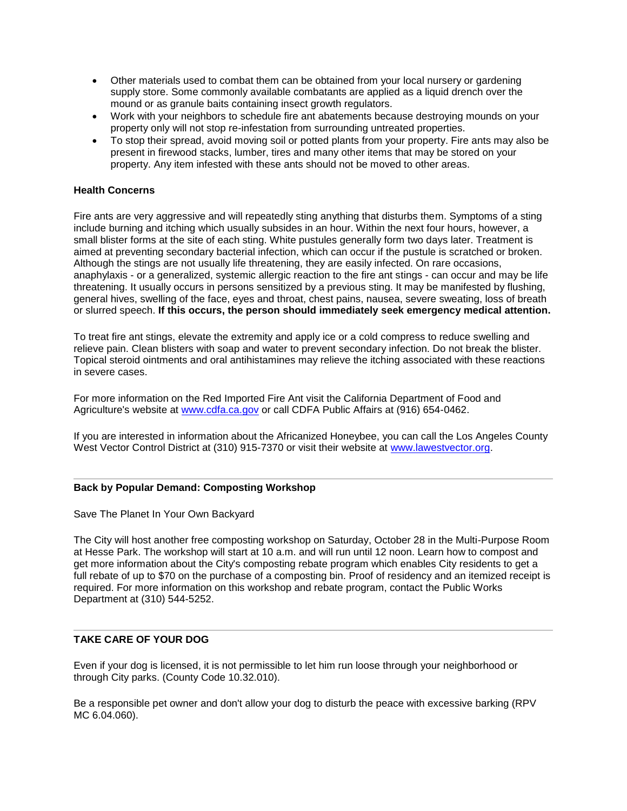- Other materials used to combat them can be obtained from your local nursery or gardening supply store. Some commonly available combatants are applied as a liquid drench over the mound or as granule baits containing insect growth regulators.
- Work with your neighbors to schedule fire ant abatements because destroying mounds on your property only will not stop re-infestation from surrounding untreated properties.
- To stop their spread, avoid moving soil or potted plants from your property. Fire ants may also be present in firewood stacks, lumber, tires and many other items that may be stored on your property. Any item infested with these ants should not be moved to other areas.

# **Health Concerns**

Fire ants are very aggressive and will repeatedly sting anything that disturbs them. Symptoms of a sting include burning and itching which usually subsides in an hour. Within the next four hours, however, a small blister forms at the site of each sting. White pustules generally form two days later. Treatment is aimed at preventing secondary bacterial infection, which can occur if the pustule is scratched or broken. Although the stings are not usually life threatening, they are easily infected. On rare occasions, anaphylaxis - or a generalized, systemic allergic reaction to the fire ant stings - can occur and may be life threatening. It usually occurs in persons sensitized by a previous sting. It may be manifested by flushing, general hives, swelling of the face, eyes and throat, chest pains, nausea, severe sweating, loss of breath or slurred speech. **If this occurs, the person should immediately seek emergency medical attention.**

To treat fire ant stings, elevate the extremity and apply ice or a cold compress to reduce swelling and relieve pain. Clean blisters with soap and water to prevent secondary infection. Do not break the blister. Topical steroid ointments and oral antihistamines may relieve the itching associated with these reactions in severe cases.

For more information on the Red Imported Fire Ant visit the California Department of Food and Agriculture's website at www.cdfa.ca.gov or call CDFA Public Affairs at (916) 654-0462.

If you are interested in information about the Africanized Honeybee, you can call the Los Angeles County West Vector Control District at (310) 915-7370 or visit their website at www.lawestvector.org.

#### **Back by Popular Demand: Composting Workshop**

Save The Planet In Your Own Backyard

The City will host another free composting workshop on Saturday, October 28 in the Multi-Purpose Room at Hesse Park. The workshop will start at 10 a.m. and will run until 12 noon. Learn how to compost and get more information about the City's composting rebate program which enables City residents to get a full rebate of up to \$70 on the purchase of a composting bin. Proof of residency and an itemized receipt is required. For more information on this workshop and rebate program, contact the Public Works Department at (310) 544-5252.

# **TAKE CARE OF YOUR DOG**

Even if your dog is licensed, it is not permissible to let him run loose through your neighborhood or through City parks. (County Code 10.32.010).

Be a responsible pet owner and don't allow your dog to disturb the peace with excessive barking (RPV MC 6.04.060).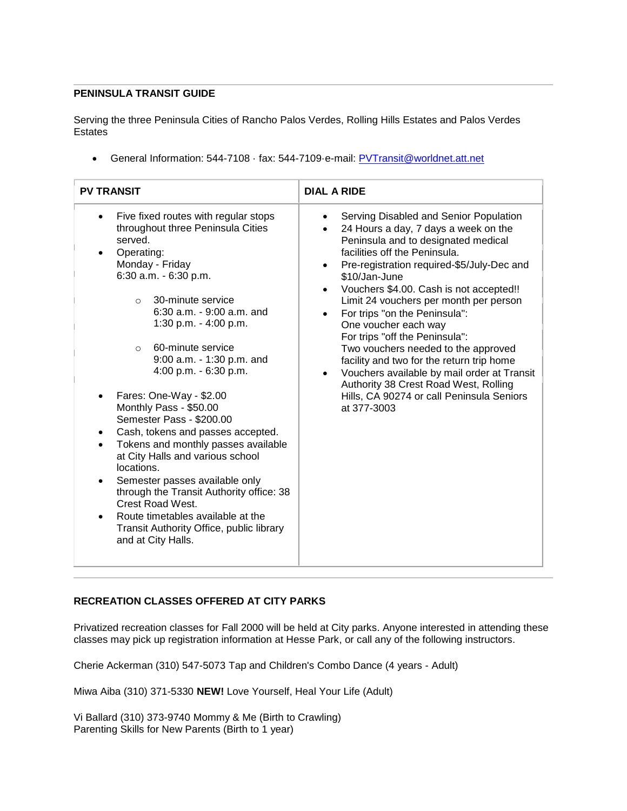## **PENINSULA TRANSIT GUIDE**

Serving the three Peninsula Cities of Rancho Palos Verdes, Rolling Hills Estates and Palos Verdes **Estates** 

General Information: 544-7108 · fax: 544-7109·e-mail: PVTransit@worldnet.att.net

| <b>PV TRANSIT</b>                                                                                                                                                                                                                                                                                                                                                                                                                                                                                                                                                                                                                                                                                                                                               | <b>DIAL A RIDE</b>                                                                                                                                                                                                                                                                                                                                                                                                                                                                                                                                                                                                                                                                        |  |  |  |
|-----------------------------------------------------------------------------------------------------------------------------------------------------------------------------------------------------------------------------------------------------------------------------------------------------------------------------------------------------------------------------------------------------------------------------------------------------------------------------------------------------------------------------------------------------------------------------------------------------------------------------------------------------------------------------------------------------------------------------------------------------------------|-------------------------------------------------------------------------------------------------------------------------------------------------------------------------------------------------------------------------------------------------------------------------------------------------------------------------------------------------------------------------------------------------------------------------------------------------------------------------------------------------------------------------------------------------------------------------------------------------------------------------------------------------------------------------------------------|--|--|--|
| Five fixed routes with regular stops<br>throughout three Peninsula Cities<br>served.<br>Operating:<br>Monday - Friday<br>6:30 a.m. $-6:30$ p.m.<br>30-minute service<br>$\circ$<br>$6:30$ a.m. $-9:00$ a.m. and<br>1:30 p.m. $-$ 4:00 p.m.<br>60-minute service<br>$\circ$<br>9:00 a.m. - 1:30 p.m. and<br>4:00 p.m. - 6:30 p.m.<br>Fares: One-Way - \$2.00<br>Monthly Pass - \$50.00<br>Semester Pass - \$200.00<br>Cash, tokens and passes accepted.<br>Tokens and monthly passes available<br>at City Halls and various school<br>locations.<br>Semester passes available only<br>through the Transit Authority office: 38<br><b>Crest Road West.</b><br>Route timetables available at the<br>Transit Authority Office, public library<br>and at City Halls. | Serving Disabled and Senior Population<br>$\bullet$<br>24 Hours a day, 7 days a week on the<br>$\bullet$<br>Peninsula and to designated medical<br>facilities off the Peninsula.<br>Pre-registration required-\$5/July-Dec and<br>٠<br>\$10/Jan-June<br>Vouchers \$4.00. Cash is not accepted!!<br>Limit 24 vouchers per month per person<br>For trips "on the Peninsula":<br>$\bullet$<br>One voucher each way<br>For trips "off the Peninsula":<br>Two vouchers needed to the approved<br>facility and two for the return trip home<br>Vouchers available by mail order at Transit<br>Authority 38 Crest Road West, Rolling<br>Hills, CA 90274 or call Peninsula Seniors<br>at 377-3003 |  |  |  |

# **RECREATION CLASSES OFFERED AT CITY PARKS**

Privatized recreation classes for Fall 2000 will be held at City parks. Anyone interested in attending these classes may pick up registration information at Hesse Park, or call any of the following instructors.

Cherie Ackerman (310) 547-5073 Tap and Children's Combo Dance (4 years - Adult)

Miwa Aiba (310) 371-5330 **NEW!** Love Yourself, Heal Your Life (Adult)

Vi Ballard (310) 373-9740 Mommy & Me (Birth to Crawling) Parenting Skills for New Parents (Birth to 1 year)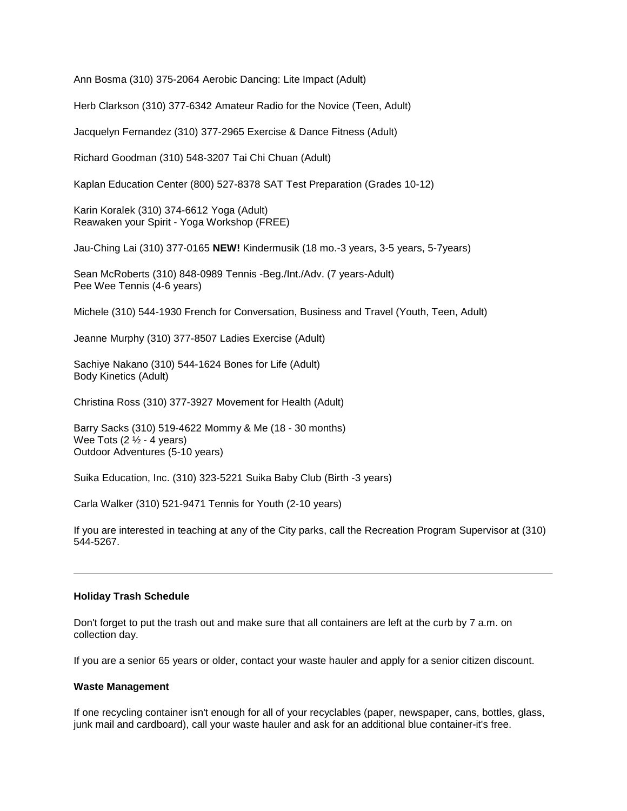Ann Bosma (310) 375-2064 Aerobic Dancing: Lite Impact (Adult)

Herb Clarkson (310) 377-6342 Amateur Radio for the Novice (Teen, Adult)

Jacquelyn Fernandez (310) 377-2965 Exercise & Dance Fitness (Adult)

Richard Goodman (310) 548-3207 Tai Chi Chuan (Adult)

Kaplan Education Center (800) 527-8378 SAT Test Preparation (Grades 10-12)

Karin Koralek (310) 374-6612 Yoga (Adult) Reawaken your Spirit - Yoga Workshop (FREE)

Jau-Ching Lai (310) 377-0165 **NEW!** Kindermusik (18 mo.-3 years, 3-5 years, 5-7years)

Sean McRoberts (310) 848-0989 Tennis -Beg./Int./Adv. (7 years-Adult) Pee Wee Tennis (4-6 years)

Michele (310) 544-1930 French for Conversation, Business and Travel (Youth, Teen, Adult)

Jeanne Murphy (310) 377-8507 Ladies Exercise (Adult)

Sachiye Nakano (310) 544-1624 Bones for Life (Adult) Body Kinetics (Adult)

Christina Ross (310) 377-3927 Movement for Health (Adult)

Barry Sacks (310) 519-4622 Mommy & Me (18 - 30 months) Wee Tots  $(2  $\frac{1}{2}$  - 4 years)$ Outdoor Adventures (5-10 years)

Suika Education, Inc. (310) 323-5221 Suika Baby Club (Birth -3 years)

Carla Walker (310) 521-9471 Tennis for Youth (2-10 years)

If you are interested in teaching at any of the City parks, call the Recreation Program Supervisor at (310) 544-5267.

#### **Holiday Trash Schedule**

Don't forget to put the trash out and make sure that all containers are left at the curb by 7 a.m. on collection day.

If you are a senior 65 years or older, contact your waste hauler and apply for a senior citizen discount.

#### **Waste Management**

If one recycling container isn't enough for all of your recyclables (paper, newspaper, cans, bottles, glass, junk mail and cardboard), call your waste hauler and ask for an additional blue container-it's free.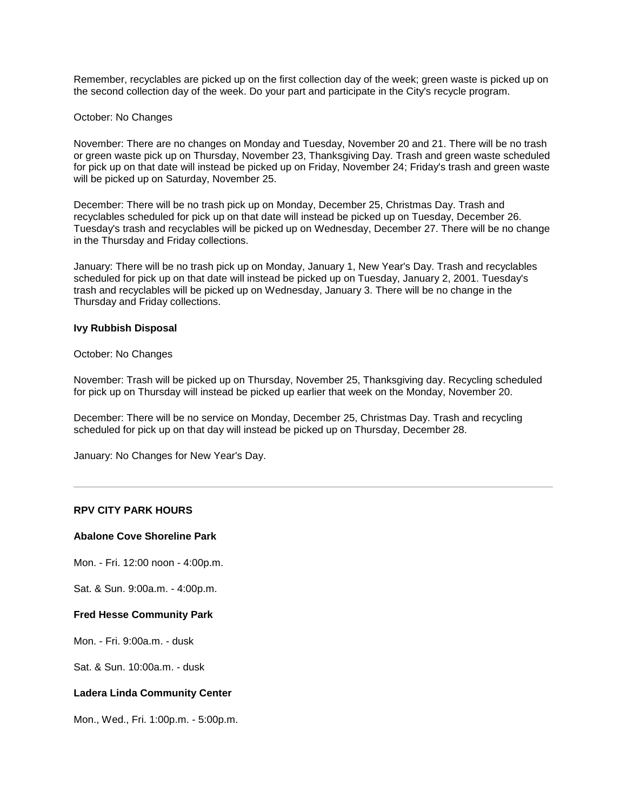Remember, recyclables are picked up on the first collection day of the week; green waste is picked up on the second collection day of the week. Do your part and participate in the City's recycle program.

#### October: No Changes

November: There are no changes on Monday and Tuesday, November 20 and 21. There will be no trash or green waste pick up on Thursday, November 23, Thanksgiving Day. Trash and green waste scheduled for pick up on that date will instead be picked up on Friday, November 24; Friday's trash and green waste will be picked up on Saturday, November 25.

December: There will be no trash pick up on Monday, December 25, Christmas Day. Trash and recyclables scheduled for pick up on that date will instead be picked up on Tuesday, December 26. Tuesday's trash and recyclables will be picked up on Wednesday, December 27. There will be no change in the Thursday and Friday collections.

January: There will be no trash pick up on Monday, January 1, New Year's Day. Trash and recyclables scheduled for pick up on that date will instead be picked up on Tuesday, January 2, 2001. Tuesday's trash and recyclables will be picked up on Wednesday, January 3. There will be no change in the Thursday and Friday collections.

#### **Ivy Rubbish Disposal**

#### October: No Changes

November: Trash will be picked up on Thursday, November 25, Thanksgiving day. Recycling scheduled for pick up on Thursday will instead be picked up earlier that week on the Monday, November 20.

December: There will be no service on Monday, December 25, Christmas Day. Trash and recycling scheduled for pick up on that day will instead be picked up on Thursday, December 28.

January: No Changes for New Year's Day.

# **RPV CITY PARK HOURS**

#### **Abalone Cove Shoreline Park**

Mon. - Fri. 12:00 noon - 4:00p.m.

Sat. & Sun. 9:00a.m. - 4:00p.m.

#### **Fred Hesse Community Park**

Mon. - Fri. 9:00a.m. - dusk

Sat. & Sun. 10:00a.m. - dusk

#### **Ladera Linda Community Center**

Mon., Wed., Fri. 1:00p.m. - 5:00p.m.